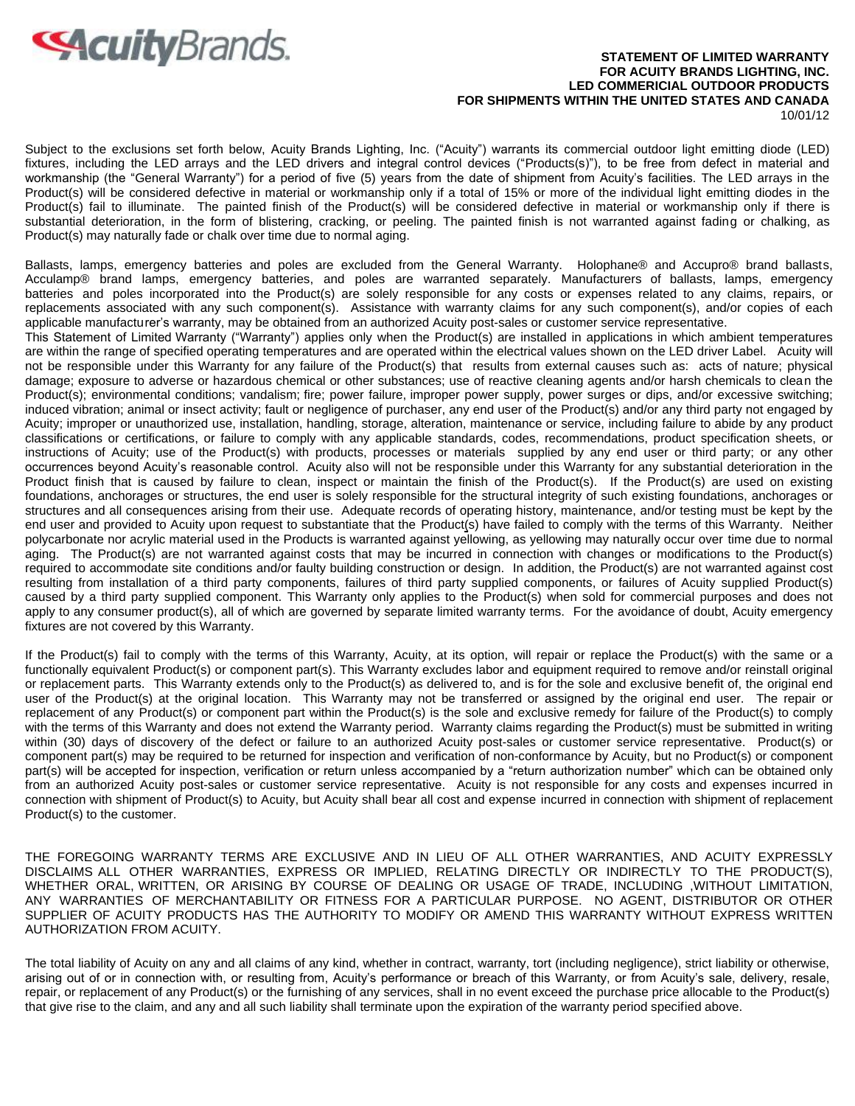

## **STATEMENT OF LIMITED WARRANTY FOR ACUITY BRANDS LIGHTING, INC. LED COMMERICIAL OUTDOOR PRODUCTS FOR SHIPMENTS WITHIN THE UNITED STATES AND CANADA**  10/01/12

Subject to the exclusions set forth below, Acuity Brands Lighting, Inc. ("Acuity") warrants its commercial outdoor light emitting diode (LED) fixtures, including the LED arrays and the LED drivers and integral control devices ("Products(s)"), to be free from defect in material and workmanship (the "General Warranty") for a period of five (5) years from the date of shipment from Acuity's facilities. The LED arrays in the Product(s) will be considered defective in material or workmanship only if a total of 15% or more of the individual light emitting diodes in the Product(s) fail to illuminate. The painted finish of the Product(s) will be considered defective in material or workmanship only if there is substantial deterioration, in the form of blistering, cracking, or peeling. The painted finish is not warranted against fading or chalking, as Product(s) may naturally fade or chalk over time due to normal aging.

Ballasts, lamps, emergency batteries and poles are excluded from the General Warranty. Holophane® and Accupro® brand ballasts, Acculamp® brand lamps, emergency batteries, and poles are warranted separately. Manufacturers of ballasts, lamps, emergency batteries and poles incorporated into the Product(s) are solely responsible for any costs or expenses related to any claims, repairs, or replacements associated with any such component(s). Assistance with warranty claims for any such component(s), and/or copies of each applicable manufacturer's warranty, may be obtained from an authorized Acuity post-sales or customer service representative.

This Statement of Limited Warranty ("Warranty") applies only when the Product(s) are installed in applications in which ambient temperatures are within the range of specified operating temperatures and are operated within the electrical values shown on the LED driver Label. Acuity will not be responsible under this Warranty for any failure of the Product(s) that results from external causes such as: acts of nature; physical damage; exposure to adverse or hazardous chemical or other substances; use of reactive cleaning agents and/or harsh chemicals to clean the Product(s); environmental conditions; vandalism; fire; power failure, improper power supply, power surges or dips, and/or excessive switching; induced vibration; animal or insect activity; fault or negligence of purchaser, any end user of the Product(s) and/or any third party not engaged by Acuity; improper or unauthorized use, installation, handling, storage, alteration, maintenance or service, including failure to abide by any product classifications or certifications, or failure to comply with any applicable standards, codes, recommendations, product specification sheets, or instructions of Acuity; use of the Product(s) with products, processes or materials supplied by any end user or third party; or any other occurrences beyond Acuity's reasonable control. Acuity also will not be responsible under this Warranty for any substantial deterioration in the Product finish that is caused by failure to clean, inspect or maintain the finish of the Product(s). If the Product(s) are used on existing foundations, anchorages or structures, the end user is solely responsible for the structural integrity of such existing foundations, anchorages or structures and all consequences arising from their use. Adequate records of operating history, maintenance, and/or testing must be kept by the end user and provided to Acuity upon request to substantiate that the Product(s) have failed to comply with the terms of this Warranty. Neither polycarbonate nor acrylic material used in the Products is warranted against yellowing, as yellowing may naturally occur over time due to normal aging. The Product(s) are not warranted against costs that may be incurred in connection with changes or modifications to the Product(s) required to accommodate site conditions and/or faulty building construction or design. In addition, the Product(s) are not warranted against cost resulting from installation of a third party components, failures of third party supplied components, or failures of Acuity supplied Product(s) caused by a third party supplied component. This Warranty only applies to the Product(s) when sold for commercial purposes and does not apply to any consumer product(s), all of which are governed by separate limited warranty terms. For the avoidance of doubt, Acuity emergency fixtures are not covered by this Warranty.

If the Product(s) fail to comply with the terms of this Warranty, Acuity, at its option, will repair or replace the Product(s) with the same or a functionally equivalent Product(s) or component part(s). This Warranty excludes labor and equipment required to remove and/or reinstall original or replacement parts. This Warranty extends only to the Product(s) as delivered to, and is for the sole and exclusive benefit of, the original end user of the Product(s) at the original location. This Warranty may not be transferred or assigned by the original end user. The repair or replacement of any Product(s) or component part within the Product(s) is the sole and exclusive remedy for failure of the Product(s) to comply with the terms of this Warranty and does not extend the Warranty period. Warranty claims regarding the Product(s) must be submitted in writing within (30) days of discovery of the defect or failure to an authorized Acuity post-sales or customer service representative. Product(s) or component part(s) may be required to be returned for inspection and verification of non-conformance by Acuity, but no Product(s) or component part(s) will be accepted for inspection, verification or return unless accompanied by a "return authorization number" which can be obtained only from an authorized Acuity post-sales or customer service representative. Acuity is not responsible for any costs and expenses incurred in connection with shipment of Product(s) to Acuity, but Acuity shall bear all cost and expense incurred in connection with shipment of replacement Product(s) to the customer.

THE FOREGOING WARRANTY TERMS ARE EXCLUSIVE AND IN LIEU OF ALL OTHER WARRANTIES, AND ACUITY EXPRESSLY DISCLAIMS ALL OTHER WARRANTIES, EXPRESS OR IMPLIED, RELATING DIRECTLY OR INDIRECTLY TO THE PRODUCT(S), WHETHER ORAL, WRITTEN, OR ARISING BY COURSE OF DEALING OR USAGE OF TRADE, INCLUDING ,WITHOUT LIMITATION, ANY WARRANTIES OF MERCHANTABILITY OR FITNESS FOR A PARTICULAR PURPOSE. NO AGENT, DISTRIBUTOR OR OTHER SUPPLIER OF ACUITY PRODUCTS HAS THE AUTHORITY TO MODIFY OR AMEND THIS WARRANTY WITHOUT EXPRESS WRITTEN AUTHORIZATION FROM ACUITY.

The total liability of Acuity on any and all claims of any kind, whether in contract, warranty, tort (including negligence), strict liability or otherwise, arising out of or in connection with, or resulting from, Acuity's performance or breach of this Warranty, or from Acuity's sale, delivery, resale, repair, or replacement of any Product(s) or the furnishing of any services, shall in no event exceed the purchase price allocable to the Product(s) that give rise to the claim, and any and all such liability shall terminate upon the expiration of the warranty period specified above.